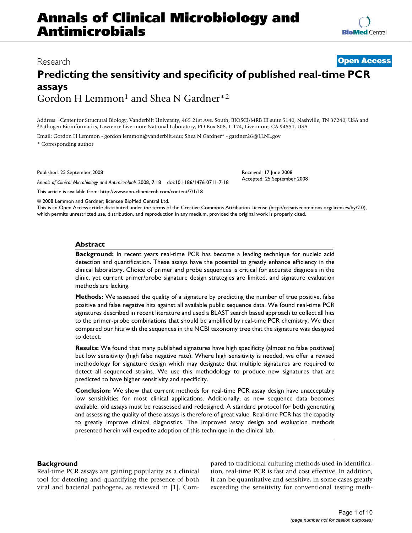# **Annals of Clinical Microbiology and Antimicrobials**

## Research **[Open Access](http://www.biomedcentral.com/info/about/charter/)**

## **Predicting the sensitivity and specificity of published real-time PCR assays** Gordon H Lemmon<sup>1</sup> and Shea N Gardner<sup>\*2</sup>

Address: <sup>1</sup>Center for Structural Biology, Vanderbilt University, 465 21st Ave. South, BIOSCI/MRB III suite 5140, Nashville, TN 37240, USA and <sup>2</sup>Pathogen Bioinformatics, Lawrence Livermore National Laboratory, PO Box 808,

Email: Gordon H Lemmon - gordon.lemmon@vanderbilt.edu; Shea N Gardner\* - gardner26@LLNL.gov \* Corresponding author

Published: 25 September 2008

*Annals of Clinical Microbiology and Antimicrobials* 2008, **7**:18 doi:10.1186/1476-0711-7-18

[This article is available from: http://www.ann-clinmicrob.com/content/7/1/18](http://www.ann-clinmicrob.com/content/7/1/18)

© 2008 Lemmon and Gardner; licensee BioMed Central Ltd.

This is an Open Access article distributed under the terms of the Creative Commons Attribution License [\(http://creativecommons.org/licenses/by/2.0\)](http://creativecommons.org/licenses/by/2.0), which permits unrestricted use, distribution, and reproduction in any medium, provided the original work is properly cited.

#### **Abstract**

**Background:** In recent years real-time PCR has become a leading technique for nucleic acid detection and quantification. These assays have the potential to greatly enhance efficiency in the clinical laboratory. Choice of primer and probe sequences is critical for accurate diagnosis in the clinic, yet current primer/probe signature design strategies are limited, and signature evaluation methods are lacking.

**Methods:** We assessed the quality of a signature by predicting the number of true positive, false positive and false negative hits against all available public sequence data. We found real-time PCR signatures described in recent literature and used a BLAST search based approach to collect all hits to the primer-probe combinations that should be amplified by real-time PCR chemistry. We then compared our hits with the sequences in the NCBI taxonomy tree that the signature was designed to detect.

**Results:** We found that many published signatures have high specificity (almost no false positives) but low sensitivity (high false negative rate). Where high sensitivity is needed, we offer a revised methodology for signature design which may designate that multiple signatures are required to detect all sequenced strains. We use this methodology to produce new signatures that are predicted to have higher sensitivity and specificity.

**Conclusion:** We show that current methods for real-time PCR assay design have unacceptably low sensitivities for most clinical applications. Additionally, as new sequence data becomes available, old assays must be reassessed and redesigned. A standard protocol for both generating and assessing the quality of these assays is therefore of great value. Real-time PCR has the capacity to greatly improve clinical diagnostics. The improved assay design and evaluation methods presented herein will expedite adoption of this technique in the clinical lab.

#### **Background**

Real-time PCR assays are gaining popularity as a clinical tool for detecting and quantifying the presence of both viral and bacterial pathogens, as reviewed in [1]. Compared to traditional culturing methods used in identification, real-time PCR is fast and cost effective. In addition, it can be quantitative and sensitive, in some cases greatly exceeding the sensitivity for conventional testing meth-

Received: 17 June 2008 Accepted: 25 September 2008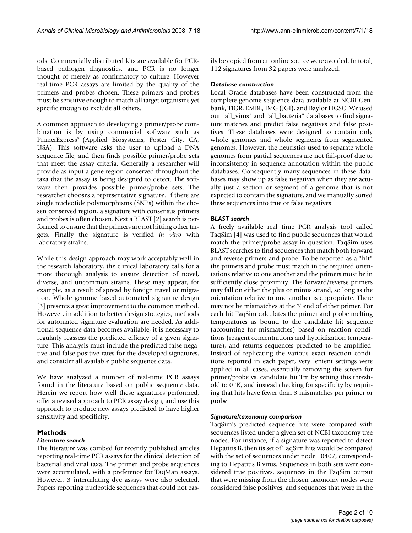ods. Commercially distributed kits are available for PCRbased pathogen diagnostics, and PCR is no longer thought of merely as confirmatory to culture. However real-time PCR assays are limited by the quality of the primers and probes chosen. These primers and probes must be sensitive enough to match all target organisms yet specific enough to exclude all others.

A common approach to developing a primer/probe combination is by using commercial software such as PrimerExpress® (Applied Biosystems, Foster City, CA, USA). This software asks the user to upload a DNA sequence file, and then finds possible primer/probe sets that meet the assay criteria. Generally a researcher will provide as input a gene region conserved throughout the taxa that the assay is being designed to detect. The software then provides possible primer/probe sets. The researcher chooses a representative signature. If there are single nucleotide polymorphisms (SNPs) within the chosen conserved region, a signature with consensus primers and probes is often chosen. Next a BLAST [2] search is performed to ensure that the primers are not hitting other targets. Finally the signature is verified *in vitro* with laboratory strains.

While this design approach may work acceptably well in the research laboratory, the clinical laboratory calls for a more thorough analysis to ensure detection of novel, diverse, and uncommon strains. These may appear, for example, as a result of spread by foreign travel or migration. Whole genome based automated signature design [3] presents a great improvement to the common method. However, in addition to better design strategies, methods for automated signature evaluation are needed. As additional sequence data becomes available, it is necessary to regularly reassess the predicted efficacy of a given signature. This analysis must include the predicted false negative and false positive rates for the developed signatures, and consider all available public sequence data.

We have analyzed a number of real-time PCR assays found in the literature based on public sequence data. Herein we report how well these signatures performed, offer a revised approach to PCR assay design, and use this approach to produce new assays predicted to have higher sensitivity and specificity.

#### **Methods** *Literature search*

The literature was combed for recently published articles reporting real-time PCR assays for the clinical detection of bacterial and viral taxa. The primer and probe sequences were accumulated, with a preference for TaqMan assays. However, 3 intercalating dye assays were also selected. Papers reporting nucleotide sequences that could not easily be copied from an online source were avoided. In total, 112 signatures from 32 papers were analyzed.

#### *Database construction*

Local Oracle databases have been constructed from the complete genome sequence data available at NCBI Genbank, TIGR, EMBL, IMG (JGI), and Baylor HGSC. We used our "all\_virus" and "all\_bacteria" databases to find signature matches and predict false negatives and false positives. These databases were designed to contain only whole genomes and whole segments from segmented genomes. However, the heuristics used to separate whole genomes from partial sequences are not fail-proof due to inconsistency in sequence annotation within the public databases. Consequently many sequences in these databases may show up as false negatives when they are actually just a section or segment of a genome that is not expected to contain the signature, and we manually sorted these sequences into true or false negatives.

## *BLAST search*

A freely available real time PCR analysis tool called TaqSim [4] was used to find public sequences that would match the primer/probe assay in question. TaqSim uses BLAST searches to find sequences that match both forward and reverse primers and probe. To be reported as a "hit" the primers and probe must match in the required orientations relative to one another and the primers must be in sufficiently close proximity. The forward/reverse primers may fall on either the plus or minus strand, so long as the orientation relative to one another is appropriate. There may not be mismatches at the 3' end of either primer. For each hit TaqSim calculates the primer and probe melting temperatures as bound to the candidate hit sequence (accounting for mismatches) based on reaction conditions (reagent concentrations and hybridization temperature), and returns sequences predicted to be amplified. Instead of replicating the various exact reaction conditions reported in each paper, very lenient settings were applied in all cases, essentially removing the screen for primer/probe vs. candidate hit Tm by setting this threshold to 0°K, and instead checking for specificity by requiring that hits have fewer than 3 mismatches per primer or probe.

#### *Signature/taxonomy comparison*

TaqSim's predicted sequence hits were compared with sequences listed under a given set of NCBI taxonomy tree nodes. For instance, if a signature was reported to detect Hepatitis B, then its set of TaqSim hits would be compared with the set of sequences under node 10407, corresponding to Hepatitis B virus. Sequences in both sets were considered true positives, sequences in the TaqSim output that were missing from the chosen taxonomy nodes were considered false positives, and sequences that were in the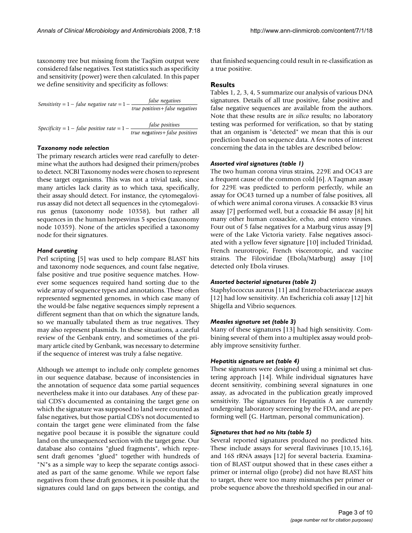taxonomy tree but missing from the TaqSim output were considered false negatives. Test statistics such as specificity and sensitivity (power) were then calculated. In this paper we define sensitivity and specificity as follows:

*Sensitivity* =  $1 - false$  *negative rate* =  $1 - \frac{false$  *negatives*  $\overline{true\ positives}$  + false negatives

*Specificity* =  $1 - false$  *positive rate* =  $1 - \frac{false \text{ positives}}{1 - \frac{false \text{ positives}}{1 - \frac{false \text{ positives}}{1 - \frac{false \text{у}}{1 - \frac{false \text{у}}{1 - \frac{false \text{у}}{1 - \frac{false \text{у}}{1 - \frac{false \text{poly}}{1 - \frac{false \text{poly}}{1 - \frac{false \text{poly}}{1 - \frac{false \text{poly}}{1 - \frac{false \text{poly}}{1 - \frac{false \text{poly}}{1 - \frac{false \text{poly}}{1 - \frac{false \text{poly}}{$  $true$  negatives + false positives

#### *Taxonomy node selection*

The primary research articles were read carefully to determine what the authors had designed their primers/probes to detect. NCBI Taxonomy nodes were chosen to represent these target organisms. This was not a trivial task, since many articles lack clarity as to which taxa, specifically, their assay should detect. For instance, the cytomegalovirus assay did not detect all sequences in the cytomegalovirus genus (taxonomy node 10358), but rather all sequences in the human herpesvirus 5 species (taxonomy node 10359). None of the articles specified a taxonomy node for their signatures.

#### *Hand curating*

Perl scripting [5] was used to help compare BLAST hits and taxonomy node sequences, and count false negative, false positive and true positive sequence matches. However some sequences required hand sorting due to the wide array of sequence types and annotations. These often represented segmented genomes, in which case many of the would-be false negative sequences simply represent a different segment than that on which the signature lands, so we manually tabulated them as true negatives. They may also represent plasmids. In these situations, a careful review of the Genbank entry, and sometimes of the primary article cited by Genbank, was necessary to determine if the sequence of interest was truly a false negative.

Although we attempt to include only complete genomes in our sequence database, because of inconsistencies in the annotation of sequence data some partial sequences nevertheless make it into our databases. Any of these partial CDS's documented as containing the target gene on which the signature was supposed to land were counted as false negatives, but those partial CDS's not documented to contain the target gene were eliminated from the false negative pool because it is possible the signature could land on the unsequenced section with the target gene. Our database also contains "glued fragments", which represent draft genomes "glued" together with hundreds of "N"s as a simple way to keep the separate contigs associated as part of the same genome. While we report false negatives from these draft genomes, it is possible that the signatures could land on gaps between the contigs, and that finished sequencing could result in re-classification as a true positive.

## **Results**

Tables 1, 2, 3, 4, 5 summarize our analysis of various DNA signatures. Details of all true positive, false positive and false negative sequences are available from the authors. Note that these results are *in silico* results; no laboratory testing was performed for verification, so that by stating that an organism is "detected" we mean that this is our prediction based on sequence data. A few notes of interest concerning the data in the tables are described below:

#### *Assorted viral signatures (table 1)*

The two human corona virus strains, 229E and OC43 are a frequent cause of the common cold [6]. A Taqman assay for 229E was predicted to perform perfectly, while an assay for OC43 turned up a number of false positives, all of which were animal corona viruses. A coxsackie B3 virus assay [7] performed well, but a coxsackie B4 assay [8] hit many other human coxsackie, echo, and entero viruses. Four out of 5 false negatives for a Marburg virus assay [9] were of the Lake Victoria variety. False negatives associated with a yellow fever signature [10] included Trinidad, French neurotropic, French viscerotropic, and vaccine strains. The Filoviridae (Ebola/Marburg) assay [10] detected only Ebola viruses.

## *Assorted bacterial signatures (table 2)*

Staphylococcus aureus [11] and Enterobacteriaceae assays [12] had low sensitivity. An Escherichia coli assay [12] hit Shigella and Vibrio sequences.

## *Measles signature set (table 3)*

Many of these signatures [13] had high sensitivity. Combining several of them into a multiplex assay would probably improve sensitivity further.

## *Hepatitis signature set (table 4)*

These signatures were designed using a minimal set clustering approach [14]. While individual signatures have decent sensitivity, combining several signatures in one assay, as advocated in the publication greatly improved sensitivity. The signatures for Hepatitis A are currently undergoing laboratory screening by the FDA, and are performing well (G. Hartman, personal communication).

#### *Signatures that had no hits (table 5)*

Several reported signatures produced no predicted hits. These include assays for several flaviviruses [10,15,16], and 16S rRNA assays [12] for several bacteria. Examination of BLAST output showed that in these cases either a primer or internal oligo (probe) did not have BLAST hits to target, there were too many mismatches per primer or probe sequence above the threshold specified in our anal-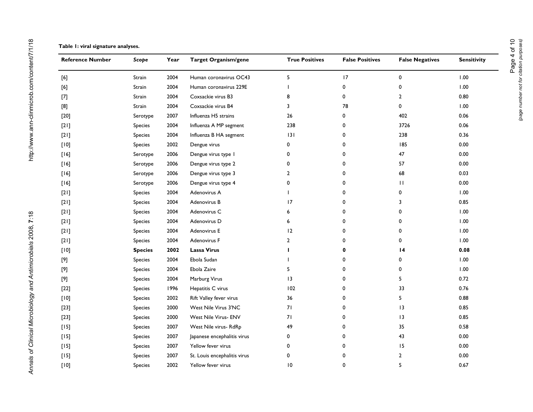| Table 1: viral signature analyses. |      |  |
|------------------------------------|------|--|
| <b>Reference Number</b>            | Sco  |  |
| [6]                                | Stra |  |
| [6]                                | Stra |  |
| [7]                                | Stra |  |
| [8]                                | Stra |  |
| $[20]$                             | Ser  |  |
| [2]                                | Spe  |  |
| [2]                                | Spe  |  |
| [10]                               | Spe  |  |
| [16]                               | Ser  |  |
| F I 7 1                            | c    |  |

http://www.ann-clinmicrob.com/content/7/1/18

| Reference Number | Scope          | Year | Target Organism/gene         | <b>True Positives</b> | <b>False Positives</b> | <b>False Negatives</b> | <b>Sensitivity</b> |
|------------------|----------------|------|------------------------------|-----------------------|------------------------|------------------------|--------------------|
| [6]              | Strain         | 2004 | Human coronavirus OC43       | 5                     | 17                     | $\mathbf 0$            | 1.00               |
| [6]              | Strain         | 2004 | Human coronavirus 229E       |                       | 0                      | 0                      | 1.00               |
| [7]              | Strain         | 2004 | Coxsackie virus B3           | 8                     | 0                      | $\overline{2}$         | 0.80               |
| $^{[8]}$         | Strain         | 2004 | Coxsackie virus B4           | 3                     | 78                     | $\mathbf 0$            | 1.00               |
| [20]             | Serotype       | 2007 | Influenza H5 strains         | 26                    | 0                      | 402                    | 0.06               |
| [21]             | Species        | 2004 | Influenza A MP segment       | 238                   | 0                      | 3726                   | 0.06               |
| [21]             | Species        | 2004 | Influenza B HA segment       | 131                   | 0                      | 238                    | 0.36               |
| [10]             | Species        | 2002 | Dengue virus                 | 0                     | 0                      | 185                    | 0.00               |
| [16]             | Serotype       | 2006 | Dengue virus type I          | 0                     | 0                      | 47                     | 0.00               |
| [16]             | Serotype       | 2006 | Dengue virus type 2          | 0                     | 0                      | 57                     | 0.00               |
| [16]             | Serotype       | 2006 | Dengue virus type 3          | $\overline{2}$        | 0                      | 68                     | 0.03               |
| [16]             | Serotype       | 2006 | Dengue virus type 4          | 0                     | 0                      | $\mathbf{H}$           | 0.00               |
| [21]             | Species        | 2004 | Adenovirus A                 |                       | 0                      | 0                      | 1.00               |
| [21]             | Species        | 2004 | Adenovirus B                 | 17                    | 0                      | 3                      | 0.85               |
| [21]             | Species        | 2004 | Adenovirus C                 | 6                     | 0                      | 0                      | 1.00               |
| [21]             | Species        | 2004 | Adenovirus D                 | 6                     | 0                      | $\mathbf 0$            | 1.00               |
| [21]             | Species        | 2004 | Adenovirus E                 | 12                    | 0                      | 0                      | 1.00               |
| [21]             | Species        | 2004 | Adenovirus F                 | $\mathbf{2}$          | 0                      | 0                      | 1.00               |
| [10]             | <b>Species</b> | 2002 | <b>Lassa Virus</b>           | L                     | 0                      | $\overline{14}$        | 0.08               |
| [9]              | Species        | 2004 | Ebola Sudan                  |                       | 0                      | 0                      | 1.00               |
| [9]              | Species        | 2004 | Ebola Zaire                  | 5                     | 0                      | 0                      | 1.00               |
| [9]              | Species        | 2004 | Marburg Virus                | 13                    | 0                      | 5                      | 0.72               |
| [22]             | Species        | 1996 | Hepatitis C virus            | 102                   | 0                      | 33                     | 0.76               |
| [10]             | Species        | 2002 | Rift Valley fever virus      | 36                    | 0                      | 5                      | 0.88               |
| [23]             | Species        | 2000 | West Nile Virus 3'NC         | 71                    | 0                      | 13                     | 0.85               |
| [23]             | Species        | 2000 | West Nile Virus- ENV         | 71                    | 0                      | $\overline{13}$        | 0.85               |
| [15]             | Species        | 2007 | West Nile virus- RdRp        | 49                    | 0                      | 35                     | 0.58               |
| [15]             | Species        | 2007 | Japanese encephalitis virus  | 0                     | 0                      | 43                     | 0.00               |
| [15]             | Species        | 2007 | Yellow fever virus           | 0                     | 0                      | 15                     | 0.00               |
| $[15]$           | Species        | 2007 | St. Louis encephalitis virus | 0                     | 0                      | $\overline{2}$         | 0.00               |
| [10]             | <b>Species</b> | 2002 | Yellow fever virus           | 10                    | $\Omega$               | 5                      | 0.67               |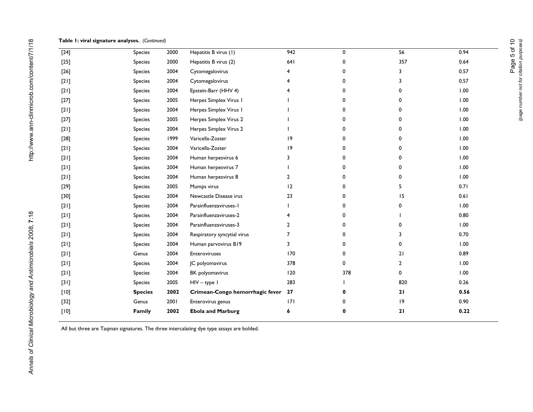|  |  |  |  |  | Table 1: viral signature analyses. (Continued) |
|--|--|--|--|--|------------------------------------------------|
|--|--|--|--|--|------------------------------------------------|

| $[24]$ | Species        | 2000 | Hepatitis B virus (1)           | 942            | 0   | 56             | 0.94 |
|--------|----------------|------|---------------------------------|----------------|-----|----------------|------|
| $[25]$ | <b>Species</b> | 2000 | Hepatitis B virus (2)           | 641            | 0   | 357            | 0.64 |
| $[26]$ | Species        | 2004 | Cytomegalovirus                 | 4              | 0   | 3              | 0.57 |
| $[21]$ | Species        | 2004 | Cytomegalovirus                 | 4              | 0   | 3              | 0.57 |
| $[21]$ | Species        | 2004 | Epstein-Barr (HHV 4)            | 4              | 0   | $\Omega$       | 1.00 |
| $[27]$ | Species        | 2005 | Herpes Simplex Virus I          |                | 0   | 0              | 1.00 |
| $[2]$  | Species        | 2004 | Herpes Simplex Virus I          |                | 0   | $\Omega$       | 1.00 |
| $[27]$ | Species        | 2005 | Herpes Simplex Virus 2          |                | 0   | 0              | 1.00 |
| $[21]$ | Species        | 2004 | Herpes Simplex Virus 2          |                | 0   | $\Omega$       | 1.00 |
| $[28]$ | Species        | 1999 | Varicella-Zoster                | 19             | 0   | $\Omega$       | 1.00 |
| $[21]$ | Species        | 2004 | Varicella-Zoster                | 9              | 0   | 0              | 1.00 |
| $[21]$ | Species        | 2004 | Human herpesvirus 6             | 3              | 0   | $\Omega$       | 1.00 |
| $[2]$  | Species        | 2004 | Human herpesvirus 7             |                | 0   | 0              | 1.00 |
| $[21]$ | Species        | 2004 | Human herpesvirus 8             | $\overline{2}$ | 0   | 0              | 1.00 |
| $[29]$ | Species        | 2005 | Mumps virus                     | 12             | 0   | 5              | 0.71 |
| $[30]$ | Species        | 2004 | Newcastle Disease irus          | 23             | 0   | 15             | 0.61 |
| $[2]$  | Species        | 2004 | Parainfluenzaviruses-1          |                | 0   | 0              | 1.00 |
| $[2]$  | Species        | 2004 | Parainfluenzaviruses-2          | 4              | 0   |                | 0.80 |
| $[21]$ | Species        | 2004 | Parainfluenzaviruses-3          | $\overline{2}$ | 0   | 0              | 1.00 |
| $[21]$ | Species        | 2004 | Respiratory syncytial virus     | $\overline{7}$ | 0   | 3              | 0.70 |
| $[21]$ | <b>Species</b> | 2004 | Human parvovirus B19            | 3              | 0   | 0              | 1.00 |
| $[21]$ | Genus          | 2004 | Enteroviruses                   | 170            | 0   | 21             | 0.89 |
| $[21]$ | Species        | 2004 | JC polyomavirus                 | 378            | 0   | $\overline{2}$ | 1.00 |
| $[2]$  | Species        | 2004 | BK polyomavirus                 | 120            | 378 | 0              | 1.00 |
| $[31]$ | Species        | 2005 | $HIV - type I$                  | 283            |     | 820            | 0.26 |
| $[10]$ | <b>Species</b> | 2002 | Crimean-Congo hemorrhagic fever | 27             | 0   | 21             | 0.56 |
| $[32]$ | Genus          | 2001 | Enterovirus genus               | 7              | 0   | $ 9\rangle$    | 0.90 |
| $[10]$ | <b>Family</b>  | 2002 | <b>Ebola and Marburg</b>        | 6              | 0   | 21             | 0.22 |
|        |                |      |                                 |                |     |                |      |

All but three are Taqman signatures. The three intercalating dye type assays are bolded.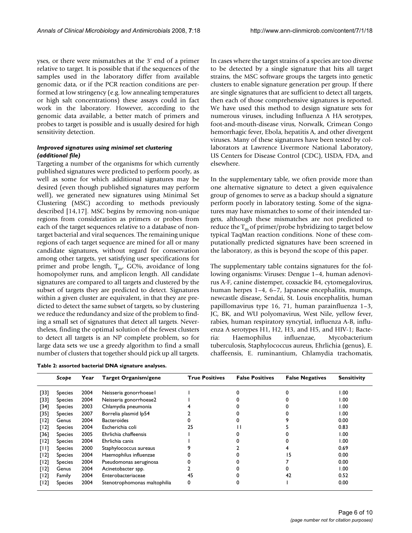yses, or there were mismatches at the 3' end of a primer relative to target. It is possible that if the sequences of the samples used in the laboratory differ from available genomic data, or if the PCR reaction conditions are performed at low stringency (e.g. low annealing temperatures or high salt concentrations) these assays could in fact work in the laboratory. However, according to the genomic data available, a better match of primers and probes to target is possible and is usually desired for high sensitivity detection.

#### *Improved signatures using minimal set clustering (additional file)*

Targeting a number of the organisms for which currently published signatures were predicted to perform poorly, as well as some for which additional signatures may be desired (even though published signatures may perform well), we generated new signatures using Minimal Set Clustering (MSC) according to methods previously described [14,17]. MSC begins by removing non-unique regions from consideration as primers or probes from each of the target sequences relative to a database of nontarget bacterial and viral sequences. The remaining unique regions of each target sequence are mined for all or many candidate signatures, without regard for conservation among other targets, yet satisfying user specifications for primer and probe length,  $T_{m}$ , GC%, avoidance of long homopolymer runs, and amplicon length. All candidate signatures are compared to all targets and clustered by the subset of targets they are predicted to detect. Signatures within a given cluster are equivalent, in that they are predicted to detect the same subset of targets, so by clustering we reduce the redundancy and size of the problem to finding a small set of signatures that detect all targets. Nevertheless, finding the optimal solution of the fewest clusters to detect all targets is an NP complete problem, so for large data sets we use a greedy algorithm to find a small number of clusters that together should pick up all targets.

| Table 2: assorted bacterial DNA signature analyses. |  |  |  |
|-----------------------------------------------------|--|--|--|
|-----------------------------------------------------|--|--|--|

In cases where the target strains of a species are too diverse to be detected by a single signature that hits all target strains, the MSC software groups the targets into genetic clusters to enable signature generation per group. If there are single signatures that are sufficient to detect all targets, then each of those comprehensive signatures is reported. We have used this method to design signature sets for numerous viruses, including Influenza A HA serotypes, foot-and-mouth-disease virus, Norwalk, Crimean Congo hemorrhagic fever, Ebola, hepatitis A, and other divergent viruses. Many of these signatures have been tested by collaborators at Lawrence Livermore National Laboratory, US Centers for Disease Control (CDC), USDA, FDA, and elsewhere.

In the supplementary table, we often provide more than one alternative signature to detect a given equivalence group of genomes to serve as a backup should a signature perform poorly in laboratory testing. Some of the signatures may have mismatches to some of their intended targets, although these mismatches are not predicted to reduce the  $T_m$  of primer/probe hybridizing to target below typical TaqMan reaction conditions. None of these computationally predicted signatures have been screened in the laboratory, as this is beyond the scope of this paper.

The supplementary table contains signatures for the following organisms: Viruses: Dengue 1–4, human adenovirus A-F, canine distemper, coxsackie B4, cytomegalovirus, human herpes 1–4, 6–7, Japanese encephalitis, mumps, newcastle disease, Sendai, St. Louis encephalitis, human papillomavirus type 16, 71, human parainfluenza 1–3, JC, BK, and WU polyomavirus, West Nile, yellow fever, rabies, human respiratory syncytial, influenza A-B, influenza A serotypes H1, H2, H3, and H5, and HIV-1; Bacteria: Haemophilus influenzae, Mycobacterium tuberculosis, Staphylococcus aureus, Ehrlichia (genus), E. chaffeensis, E. ruminantium, Chlamydia trachomatis,

|      | Scope          | Year | <b>Target Organism/gene</b>  | <b>True Positives</b> | <b>False Positives</b> | <b>False Negatives</b> | <b>Sensitivity</b> |
|------|----------------|------|------------------------------|-----------------------|------------------------|------------------------|--------------------|
| [33] | <b>Species</b> | 2004 | Neisseria gonorrhoeae l      |                       |                        |                        | 1.00               |
| [33] | <b>Species</b> | 2004 | Neisseria gonorrhoeae2       |                       |                        |                        | 1.00               |
| [34] | Species        | 2003 | Chlamydia pneumonia          |                       |                        |                        | 1.00               |
| [35] | <b>Species</b> | 2007 | Borrelia plasmid Ip54        |                       |                        |                        | 00.1               |
| [12] | Genus          | 2004 | <b>Bacteroides</b>           |                       |                        |                        | 0.00               |
| [12] | <b>Species</b> | 2004 | Escherichia coli             | 25                    |                        |                        | 0.83               |
| [36] | Species        | 2005 | Ehrlichia chaffeensis        |                       |                        |                        | 1.00               |
| [12] | Species        | 2004 | Ehrlichia canis              |                       |                        |                        | 1.00               |
| [11] | <b>Species</b> | 2000 | Staphylococcus aureaus       |                       |                        |                        | 0.69               |
| [12] | Species        | 2004 | Haemophilus influenzae       |                       |                        | כ ו                    | 0.00               |
| [12] | <b>Species</b> | 2004 | Pseudomonas aeruginosa       |                       |                        |                        | 0.00               |
| [12] | Genus          | 2004 | Acinetobacter spp.           |                       |                        |                        | 1.00               |
| [12] | Family         | 2004 | Enterobacteriaceae           | 45                    |                        | 42                     | 0.52               |
| [12] | Species        | 2004 | Stenotrophomonas maltophilia | 0                     |                        |                        | 0.00               |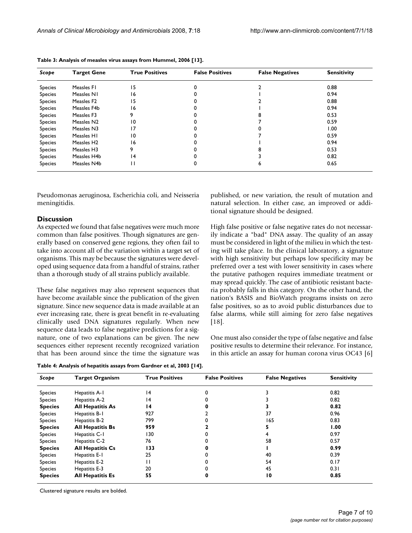| Scope          | <b>Target Gene</b>     | <b>True Positives</b> | <b>False Positives</b> | <b>False Negatives</b> | <b>Sensitivity</b> |
|----------------|------------------------|-----------------------|------------------------|------------------------|--------------------|
| <b>Species</b> | Measles F1             | 15                    |                        |                        | 0.88               |
| Species        | Measles N1             | 16                    |                        |                        | 0.94               |
| <b>Species</b> | Measles F <sub>2</sub> | 15                    |                        |                        | 0.88               |
| <b>Species</b> | Measles F4b            | 16                    |                        |                        | 0.94               |
| <b>Species</b> | Measles F3             | 9                     |                        |                        | 0.53               |
| <b>Species</b> | Measles N <sub>2</sub> | 10                    |                        |                        | 0.59               |
| <b>Species</b> | Measles N3             | 17                    |                        |                        | 1.00               |
| Species        | Measles H1             | 10                    |                        |                        | 0.59               |
| <b>Species</b> | Measles H <sub>2</sub> | 16                    |                        |                        | 0.94               |
| <b>Species</b> | Measles H3             | 9                     |                        | 8                      | 0.53               |
| <b>Species</b> | Measles H4b            | 4                     |                        |                        | 0.82               |
| <b>Species</b> | Measles N4b            | П                     |                        | 6                      | 0.65               |

| Table 3: Analysis of measles virus assays from Hummel, 2006 [13]. |  |  |  |
|-------------------------------------------------------------------|--|--|--|
|-------------------------------------------------------------------|--|--|--|

Pseudomonas aeruginosa, Escherichia coli, and Neisseria meningitidis.

#### **Discussion**

As expected we found that false negatives were much more common than false positives. Though signatures are generally based on conserved gene regions, they often fail to take into account all of the variation within a target set of organisms. This may be because the signatures were developed using sequence data from a handful of strains, rather than a thorough study of all strains publicly available.

These false negatives may also represent sequences that have become available since the publication of the given signature. Since new sequence data is made available at an ever increasing rate, there is great benefit in re-evaluating clinically used DNA signatures regularly. When new sequence data leads to false negative predictions for a signature, one of two explanations can be given. The new sequences either represent recently recognized variation that has been around since the time the signature was

**Table 4: Analysis of hepatitis assays from Gardner et al, 2003 [14].** 

published, or new variation, the result of mutation and natural selection. In either case, an improved or additional signature should be designed.

High false positive or false negative rates do not necessarily indicate a "bad" DNA assay. The quality of an assay must be considered in light of the milieu in which the testing will take place. In the clinical laboratory, a signature with high sensitivity but perhaps low specificity may be preferred over a test with lower sensitivity in cases where the putative pathogen requires immediate treatment or may spread quickly. The case of antibiotic resistant bacteria probably falls in this category. On the other hand, the nation's BASIS and BioWatch programs insists on zero false positives, so as to avoid public disturbances due to false alarms, while still aiming for zero false negatives [18].

One must also consider the type of false negative and false positive results to determine their relevance. For instance, in this article an assay for human corona virus OC43 [6]

| Scope          | <b>Target Organism</b>  | <b>True Positives</b> | <b>False Positives</b> | <b>False Negatives</b> | <b>Sensitivity</b> |
|----------------|-------------------------|-----------------------|------------------------|------------------------|--------------------|
| <b>Species</b> | Hepatitis A-1           | 4                     | O                      |                        | 0.82               |
| <b>Species</b> | Hepatitis A-2           | 4                     |                        |                        | 0.82               |
| <b>Species</b> | <b>All Hepatitis As</b> | $\overline{14}$       |                        |                        | 0.82               |
| <b>Species</b> | Hepatitis B-1           | 927                   |                        | 37                     | 0.96               |
| <b>Species</b> | Hepatitis B-2           | 799                   |                        | 165                    | 0.83               |
| <b>Species</b> | <b>All Hepatitis Bs</b> | 959                   |                        |                        | 1.00               |
| <b>Species</b> | Hepatitis C-1           | 130                   |                        | 4                      | 0.97               |
| <b>Species</b> | Hepatitis C-2           | 76                    |                        | 58                     | 0.57               |
| <b>Species</b> | <b>All Hepatitis Cs</b> | 133                   |                        |                        | 0.99               |
| <b>Species</b> | Hepatitis E-1           | 25                    |                        | 40                     | 0.39               |
| <b>Species</b> | Hepatitis E-2           | п                     |                        | 54                     | 0.17               |
| <b>Species</b> | Hepatitis E-3           | 20                    |                        | 45                     | 0.31               |
| <b>Species</b> | <b>All Hepatitis Es</b> | 55                    | 0                      | 10                     | 0.85               |

Clustered signature results are bolded.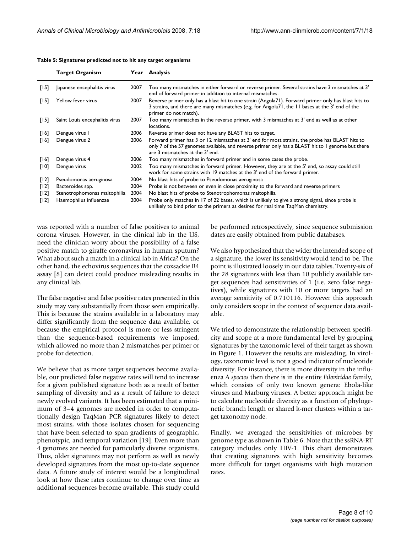|        | <b>Target Organism</b>         |      | Year Analysis                                                                                                                                                                                                                         |
|--------|--------------------------------|------|---------------------------------------------------------------------------------------------------------------------------------------------------------------------------------------------------------------------------------------|
| $[15]$ | Japanese encephalitis virus    | 2007 | Too many mismatches in either forward or reverse primer. Several strains have 3 mismatches at 3'<br>end of forward primer in addition to internal mismatches.                                                                         |
| $[15]$ | Yellow fever virus             | 2007 | Reverse primer only has a blast hit to one strain (Angola71). Forward primer only has blast hits to<br>3 strains, and there are many mismatches (e.g. for Angola71, the 11 bases at the 3' end of the<br>primer do not match).        |
| [15]   | Saint Louis encephalitis virus | 2007 | Too many mismatches in the reverse primer, with 3 mismatches at 3' end as well as at other<br>locations.                                                                                                                              |
| [16]   | Dengue virus I                 | 2006 | Reverse primer does not have any BLAST hits to target.                                                                                                                                                                                |
| [16]   | Dengue virus 2                 | 2006 | Forward primer has 3 or 12 mismatches at 3' end for most strains, the probe has BLAST hits to<br>only 7 of the 57 genomes available, and reverse primer only has a BLAST hit to 1 genome but there<br>are 3 mismatches at the 3' end. |
| [16]   | Dengue virus 4                 | 2006 | Too many mismatches in forward primer and in some cases the probe.                                                                                                                                                                    |
| [10]   | Dengue virus                   | 2002 | Too many mismatches in forward primer. However, they are at the 5' end, so assay could still<br>work for some strains with 19 matches at the 3' end of the forward primer.                                                            |
| [12]   | Pseudomonas aeruginosa         | 2004 | No blast hits of probe to Pseudomonas aeruginosa                                                                                                                                                                                      |
| $[12]$ | Bacteroides spp.               | 2004 | Probe is not between or even in close proximity to the forward and reverse primers                                                                                                                                                    |
| [12]   | Stenotrophomonas maltophilia   | 2004 | No blast hits of probe to Stenotrophomonas maltophilia                                                                                                                                                                                |
| [12]   | Haemophilus influenzae         | 2004 | Probe only matches in 17 of 22 bases, which is unlikely to give a strong signal, since probe is<br>unlikely to bind prior to the primers as desired for real time TaqMan chemistry.                                                   |

**Table 5: Signatures predicted not to hit any target organisms**

was reported with a number of false positives to animal corona viruses. However, in the clinical lab in the US, need the clinician worry about the possibility of a false positive match to giraffe coronavirus in human sputum? What about such a match in a clinical lab in Africa? On the other hand, the echovirus sequences that the coxsackie B4 assay [8] can detect could produce misleading results in any clinical lab.

The false negative and false positive rates presented in this study may vary substantially from those seen empirically. This is because the strains available in a laboratory may differ significantly from the sequence data available, or because the empirical protocol is more or less stringent than the sequence-based requirements we imposed, which allowed no more than 2 mismatches per primer or probe for detection.

We believe that as more target sequences become available, our predicted false negative rates will tend to increase for a given published signature both as a result of better sampling of diversity and as a result of failure to detect newly evolved variants. It has been estimated that a minimum of 3–4 genomes are needed in order to computationally design TaqMan PCR signatures likely to detect most strains, with those isolates chosen for sequencing that have been selected to span gradients of geographic, phenotypic, and temporal variation [19]. Even more than 4 genomes are needed for particularly diverse organisms. Thus, older signatures may not perform as well as newly developed signatures from the most up-to-date sequence data. A future study of interest would be a longitudinal look at how these rates continue to change over time as additional sequences become available. This study could be performed retrospectively, since sequence submission dates are easily obtained from public databases.

We also hypothesized that the wider the intended scope of a signature, the lower its sensitivity would tend to be. The point is illustrated loosely in our data tables. Twenty-six of the 28 signatures with less than 10 publicly available target sequences had sensitivities of 1 (i.e. zero false negatives), while signatures with 10 or more targets had an average sensitivity of 0.710116. However this approach only considers scope in the context of sequence data available.

We tried to demonstrate the relationship between specificity and scope at a more fundamental level by grouping signatures by the taxonomic level of their target as shown in Figure 1. However the results are misleading. In virology, taxonomic level is not a good indicator of nucleotide diversity. For instance, there is more diversity in the influenza A *species* then there is in the entire *Filoviridae* family, which consists of only two known genera: Ebola-like viruses and Marburg viruses. A better approach might be to calculate nucleotide diversity as a function of phylogenetic branch length or shared k-mer clusters within a target taxonomy node.

Finally, we averaged the sensitivities of microbes by genome type as shown in Table 6. Note that the ssRNA-RT category includes only HIV-1. This chart demonstrates that creating signatures with high sensitivity becomes more difficult for target organisms with high mutation rates.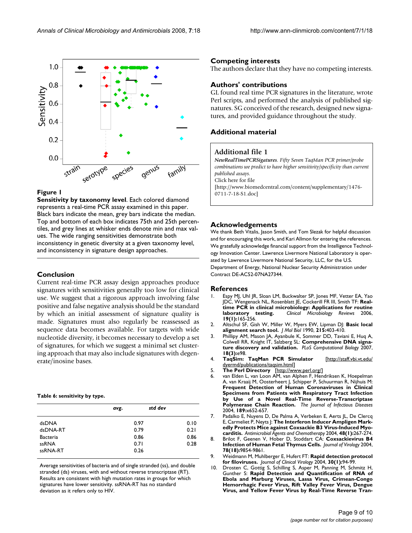

#### **Figure 1**

**Sensitivity by taxonomy level**. Each colored diamond represents a real-time PCR assay examined in this paper. Black bars indicate the mean, grey bars indicate the median. Top and bottom of each box indicates 75th and 25th percentiles, and grey lines at whisker ends denote min and max values. The wide ranging sensitivities demonstrate both inconsistency in genetic diversity at a given taxonomy level, and inconsistency in signature design approaches.

## **Conclusion**

Current real-time PCR assay design approaches produce signatures with sensitivities generally too low for clinical use. We suggest that a rigorous approach involving false positive and false negative analysis should be the standard by which an initial assessment of signature quality is made. Signatures must also regularly be reassessed as sequence data becomes available. For targets with wide nucleotide diversity, it becomes necessary to develop a set of signatures, for which we suggest a minimal set clustering approach that may also include signatures with degenerate/inosine bases.

#### **Table 6: sensitivity by type.**

|                 | avg. | std dev |
|-----------------|------|---------|
| dsDNA           | 0.97 | 0.10    |
| dsDNA-RT        | 0.79 | 0.21    |
| <b>Bacteria</b> | 0.86 | 0.86    |
| ssRNA           | 0.71 | 0.28    |
| ssRNA-RT        | 0.26 |         |
|                 |      |         |

Average sensitivities of bacteria and of single stranded (ss), and double stranded (ds) viruses, with and without reverse transcriptase (RT). Results are consistent with high mutation rates in groups for which signatures have lower sensitivity. ssRNA-RT has no standard deviation as it refers only to HIV.

## **Competing interests**

The authors declare that they have no competing interests.

## **Authors' contributions**

GL found real time PCR signatures in the literature, wrote Perl scripts, and performed the analysis of published signatures. SG conceived of the research, designed new signatures, and provided guidance throughout the study.

## **Additional material**

## **Additional file 1**

*NewRealTimePCRSigatures. Fifty Seven TaqMan PCR primer/probe combinations we predict to have higher sensitivity/specificity than current published assays.*

Click here for file

[\[http://www.biomedcentral.com/content/supplementary/1476-](http://www.biomedcentral.com/content/supplementary/1476-0711-7-18-S1.doc) 0711-7-18-S1.doc]

## **Acknowledgements**

We thank Beth Vitalis, Jason Smith, and Tom Slezak for helpful discussion and for encouraging this work, and Kari Allmon for entering the references. We gratefully acknowledge financial support from the Intelligence Technology Innovation Center. Lawrence Livermore National Laboratory is operated by Lawrence Livermore National Security, LLC, for the U.S. Department of Energy, National Nuclear Security Administration under Contract DE-AC52-07NA27344.

#### **References**

- Espy MJ, Uhl JR, Sloan LM, Buckwalter SP, Jones MF, Vetter EA, Yao JDC, Wengenack NL, Rosenblatt JE, Cockerill FR III, Smith TF: **[Real](http://www.ncbi.nlm.nih.gov/entrez/query.fcgi?cmd=Retrieve&db=PubMed&dopt=Abstract&list_uids=16418529)[time PCR in clinical microbiology: Applications for routine](http://www.ncbi.nlm.nih.gov/entrez/query.fcgi?cmd=Retrieve&db=PubMed&dopt=Abstract&list_uids=16418529) [laboratory testing.](http://www.ncbi.nlm.nih.gov/entrez/query.fcgi?cmd=Retrieve&db=PubMed&dopt=Abstract&list_uids=16418529)** *Clinical Microbiology Reviews* 2006, **19(1):**165-256.
- 2. Altschul SF, Gish W, Miller W, Myers EW, Lipman DJ: **[Basic local](http://www.ncbi.nlm.nih.gov/entrez/query.fcgi?cmd=Retrieve&db=PubMed&dopt=Abstract&list_uids=2231712) [alignment search tool.](http://www.ncbi.nlm.nih.gov/entrez/query.fcgi?cmd=Retrieve&db=PubMed&dopt=Abstract&list_uids=2231712)** *J Mol Biol* 1990, **215:**403-410.
- 3. Phillipy AM, Mason JA, Ayanbule K, Sommer DD, Taviani E, Huq A, Colwell RR, Knight IT, Salzberg SL: **Comprehensive DNA signature discovery and validation.** *PLoS Computational Biology* 2007, **18(3):**e98.
- 4. **TaqSim: TaqMan PCR Simulator** [\[http://staff.vbi.vt.edu/](http://staff.vbi.vt.edu/dyermd/publications/taqsim.html) [dyermd/publications/taqsim.html](http://staff.vbi.vt.edu/dyermd/publications/taqsim.html)]
- 
- 5. **The Perl Directory** [\[http://www.perl.org/\]](http://www.perl.org/) van Elden L, van Loon AM, van Alphen F, Hendriksen K, Hoepelman A, van Kraaij M, Oosterheert J, Schipper P, Schuurman R, Nijhuis M: **Frequent Detection of Human Coronaviruses in Clinical Specimens from Patients with Respiratory Tract Infection by Use of a Novel Real-Time Reverse-Transcriptase Polymerase Chain Reaction.** *The Journal of Infectious Diseases* 2004, **189:**x652-657.
- 7. Padalko E, Nuyens D, De Palma A, Verbeken E, Aerts JL, De Clercq E, Carmeliet P, Neyts J: **The Interferon Inducer Ampligen Markedly Protects Mice against Coxsackie B3 Virus-Induced Myocarditis.** *Antimicrobial Agents and Chemotherapy* 2004, **48(1):**267-274.
- 8. Brilot F, Geenen V, Hober D, Stoddart CA: **[Coxsackievirus B4](http://www.ncbi.nlm.nih.gov/entrez/query.fcgi?cmd=Retrieve&db=PubMed&dopt=Abstract&list_uids=15331720) [Infection of Human Fetal Thymus Cells.](http://www.ncbi.nlm.nih.gov/entrez/query.fcgi?cmd=Retrieve&db=PubMed&dopt=Abstract&list_uids=15331720)** *Journal of Virology* 2004, **78(18):**9854-9861.
- 9. Weidmann M, Muhlberger E, Hufert FT: **[Rapid detection protocol](http://www.ncbi.nlm.nih.gov/entrez/query.fcgi?cmd=Retrieve&db=PubMed&dopt=Abstract&list_uids=15072761) [for filoviruses.](http://www.ncbi.nlm.nih.gov/entrez/query.fcgi?cmd=Retrieve&db=PubMed&dopt=Abstract&list_uids=15072761)** *Journal of Clinical Virology* 2004, **30(1):**94-99.
- 10. Drosten C, Gottig S, Schilling S, Asper M, Panning M, Schmitz H, Gunther S: **[Rapid Detection and Quantification of RNA of](http://www.ncbi.nlm.nih.gov/entrez/query.fcgi?cmd=Retrieve&db=PubMed&dopt=Abstract&list_uids=12089242) [Ebola and Marburg Viruses, Lassa Virus, Crimean-Congo](http://www.ncbi.nlm.nih.gov/entrez/query.fcgi?cmd=Retrieve&db=PubMed&dopt=Abstract&list_uids=12089242) Hemorrhagic Fever Virus, Rift Valley Fever Virus, Dengue [Virus, and Yellow Fever Virus by Real-Time Reverse Tran](http://www.ncbi.nlm.nih.gov/entrez/query.fcgi?cmd=Retrieve&db=PubMed&dopt=Abstract&list_uids=12089242)-**